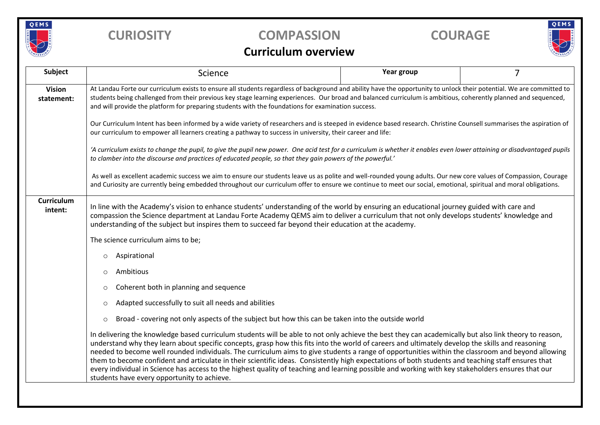

## **CURIOSITY COMPASSION COURAGE**



## **Curriculum overview**

| Subject                      | Science                                                                                                                                                                                                                                                                                                                                                                                                                                                                                                                                                                                                                                                                                                                                                                                                                   | Year group | $\overline{7}$ |  |  |  |  |
|------------------------------|---------------------------------------------------------------------------------------------------------------------------------------------------------------------------------------------------------------------------------------------------------------------------------------------------------------------------------------------------------------------------------------------------------------------------------------------------------------------------------------------------------------------------------------------------------------------------------------------------------------------------------------------------------------------------------------------------------------------------------------------------------------------------------------------------------------------------|------------|----------------|--|--|--|--|
| <b>Vision</b><br>statement:  | At Landau Forte our curriculum exists to ensure all students regardless of background and ability have the opportunity to unlock their potential. We are committed to<br>students being challenged from their previous key stage learning experiences. Our broad and balanced curriculum is ambitious, coherently planned and sequenced,<br>and will provide the platform for preparing students with the foundations for examination success.                                                                                                                                                                                                                                                                                                                                                                            |            |                |  |  |  |  |
|                              | Our Curriculum Intent has been informed by a wide variety of researchers and is steeped in evidence based research. Christine Counsell summarises the aspiration of<br>our curriculum to empower all learners creating a pathway to success in university, their career and life:                                                                                                                                                                                                                                                                                                                                                                                                                                                                                                                                         |            |                |  |  |  |  |
|                              | 'A curriculum exists to change the pupil, to give the pupil new power. One acid test for a curriculum is whether it enables even lower attaining or disadvantaged pupils<br>to clamber into the discourse and practices of educated people, so that they gain powers of the powerful.'                                                                                                                                                                                                                                                                                                                                                                                                                                                                                                                                    |            |                |  |  |  |  |
|                              | As well as excellent academic success we aim to ensure our students leave us as polite and well-rounded young adults. Our new core values of Compassion, Courage<br>and Curiosity are currently being embedded throughout our curriculum offer to ensure we continue to meet our social, emotional, spiritual and moral obligations.                                                                                                                                                                                                                                                                                                                                                                                                                                                                                      |            |                |  |  |  |  |
| <b>Curriculum</b><br>intent: | In line with the Academy's vision to enhance students' understanding of the world by ensuring an educational journey guided with care and<br>compassion the Science department at Landau Forte Academy QEMS aim to deliver a curriculum that not only develops students' knowledge and<br>understanding of the subject but inspires them to succeed far beyond their education at the academy.                                                                                                                                                                                                                                                                                                                                                                                                                            |            |                |  |  |  |  |
|                              | The science curriculum aims to be;                                                                                                                                                                                                                                                                                                                                                                                                                                                                                                                                                                                                                                                                                                                                                                                        |            |                |  |  |  |  |
|                              | Aspirational<br>$\circ$                                                                                                                                                                                                                                                                                                                                                                                                                                                                                                                                                                                                                                                                                                                                                                                                   |            |                |  |  |  |  |
|                              | Ambitious<br>$\circ$                                                                                                                                                                                                                                                                                                                                                                                                                                                                                                                                                                                                                                                                                                                                                                                                      |            |                |  |  |  |  |
|                              | Coherent both in planning and sequence<br>$\circ$                                                                                                                                                                                                                                                                                                                                                                                                                                                                                                                                                                                                                                                                                                                                                                         |            |                |  |  |  |  |
|                              | Adapted successfully to suit all needs and abilities<br>$\circ$                                                                                                                                                                                                                                                                                                                                                                                                                                                                                                                                                                                                                                                                                                                                                           |            |                |  |  |  |  |
|                              | Broad - covering not only aspects of the subject but how this can be taken into the outside world<br>$\circ$                                                                                                                                                                                                                                                                                                                                                                                                                                                                                                                                                                                                                                                                                                              |            |                |  |  |  |  |
|                              | In delivering the knowledge based curriculum students will be able to not only achieve the best they can academically but also link theory to reason,<br>understand why they learn about specific concepts, grasp how this fits into the world of careers and ultimately develop the skills and reasoning<br>needed to become well rounded individuals. The curriculum aims to give students a range of opportunities within the classroom and beyond allowing<br>them to become confident and articulate in their scientific ideas. Consistently high expectations of both students and teaching staff ensures that<br>every individual in Science has access to the highest quality of teaching and learning possible and working with key stakeholders ensures that our<br>students have every opportunity to achieve. |            |                |  |  |  |  |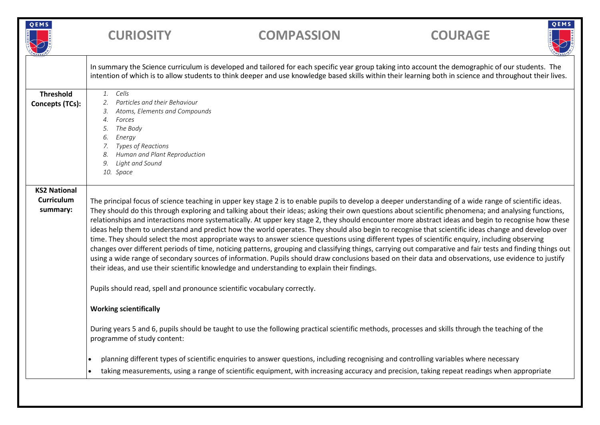| QEMS                                                 | <b>CURIOSITY</b>                                                                                                                                                                                                                                                                                                                                                                                                                                                                                                                                                                                                                                                                                                                                                                                                                                                                                                                                                                                                                                                                                                                                                                                        | <b>COMPASSION</b>                                                                                                                                                                                                                                                                                             | <b>COURAGE</b> | QEMS |  |
|------------------------------------------------------|---------------------------------------------------------------------------------------------------------------------------------------------------------------------------------------------------------------------------------------------------------------------------------------------------------------------------------------------------------------------------------------------------------------------------------------------------------------------------------------------------------------------------------------------------------------------------------------------------------------------------------------------------------------------------------------------------------------------------------------------------------------------------------------------------------------------------------------------------------------------------------------------------------------------------------------------------------------------------------------------------------------------------------------------------------------------------------------------------------------------------------------------------------------------------------------------------------|---------------------------------------------------------------------------------------------------------------------------------------------------------------------------------------------------------------------------------------------------------------------------------------------------------------|----------------|------|--|
|                                                      |                                                                                                                                                                                                                                                                                                                                                                                                                                                                                                                                                                                                                                                                                                                                                                                                                                                                                                                                                                                                                                                                                                                                                                                                         | In summary the Science curriculum is developed and tailored for each specific year group taking into account the demographic of our students. The<br>intention of which is to allow students to think deeper and use knowledge based skills within their learning both in science and throughout their lives. |                |      |  |
| <b>Threshold</b><br><b>Concepts (TCs):</b>           | Cells<br>1.<br>Particles and their Behaviour<br>2.<br>Atoms, Elements and Compounds<br>3.<br>Forces<br>4.<br>The Body<br>5.<br>Energy<br>6.<br>Types of Reactions<br>7.<br>Human and Plant Reproduction<br>8.<br>Light and Sound<br>9.<br>10. Space                                                                                                                                                                                                                                                                                                                                                                                                                                                                                                                                                                                                                                                                                                                                                                                                                                                                                                                                                     |                                                                                                                                                                                                                                                                                                               |                |      |  |
| <b>KS2 National</b><br><b>Curriculum</b><br>summary: | The principal focus of science teaching in upper key stage 2 is to enable pupils to develop a deeper understanding of a wide range of scientific ideas.<br>They should do this through exploring and talking about their ideas; asking their own questions about scientific phenomena; and analysing functions,<br>relationships and interactions more systematically. At upper key stage 2, they should encounter more abstract ideas and begin to recognise how these<br>ideas help them to understand and predict how the world operates. They should also begin to recognise that scientific ideas change and develop over<br>time. They should select the most appropriate ways to answer science questions using different types of scientific enquiry, including observing<br>changes over different periods of time, noticing patterns, grouping and classifying things, carrying out comparative and fair tests and finding things out<br>using a wide range of secondary sources of information. Pupils should draw conclusions based on their data and observations, use evidence to justify<br>their ideas, and use their scientific knowledge and understanding to explain their findings. |                                                                                                                                                                                                                                                                                                               |                |      |  |
|                                                      | Pupils should read, spell and pronounce scientific vocabulary correctly.<br><b>Working scientifically</b>                                                                                                                                                                                                                                                                                                                                                                                                                                                                                                                                                                                                                                                                                                                                                                                                                                                                                                                                                                                                                                                                                               |                                                                                                                                                                                                                                                                                                               |                |      |  |
|                                                      | programme of study content:                                                                                                                                                                                                                                                                                                                                                                                                                                                                                                                                                                                                                                                                                                                                                                                                                                                                                                                                                                                                                                                                                                                                                                             | During years 5 and 6, pupils should be taught to use the following practical scientific methods, processes and skills through the teaching of the                                                                                                                                                             |                |      |  |
|                                                      |                                                                                                                                                                                                                                                                                                                                                                                                                                                                                                                                                                                                                                                                                                                                                                                                                                                                                                                                                                                                                                                                                                                                                                                                         | planning different types of scientific enquiries to answer questions, including recognising and controlling variables where necessary<br>taking measurements, using a range of scientific equipment, with increasing accuracy and precision, taking repeat readings when appropriate                          |                |      |  |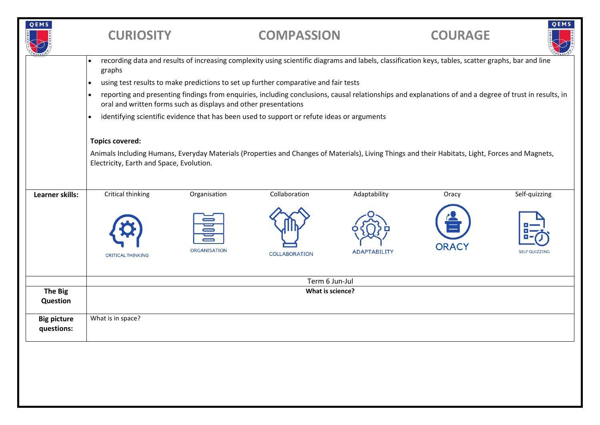| QEMS                             | <b>CURIOSITY</b>                                                                                                                                                                                                                                                                                                                                                                                                                                                                                                                                                                                                                                                                |                     | <b>COMPASSION</b>                                                                                                                                   |                     | <b>COURAGE</b> | QEMS                 |
|----------------------------------|---------------------------------------------------------------------------------------------------------------------------------------------------------------------------------------------------------------------------------------------------------------------------------------------------------------------------------------------------------------------------------------------------------------------------------------------------------------------------------------------------------------------------------------------------------------------------------------------------------------------------------------------------------------------------------|---------------------|-----------------------------------------------------------------------------------------------------------------------------------------------------|---------------------|----------------|----------------------|
|                                  | $\bullet$<br>graphs                                                                                                                                                                                                                                                                                                                                                                                                                                                                                                                                                                                                                                                             |                     | recording data and results of increasing complexity using scientific diagrams and labels, classification keys, tables, scatter graphs, bar and line |                     |                |                      |
|                                  | using test results to make predictions to set up further comparative and fair tests<br>$\bullet$<br>reporting and presenting findings from enquiries, including conclusions, causal relationships and explanations of and a degree of trust in results, in<br>$\bullet$<br>oral and written forms such as displays and other presentations<br>identifying scientific evidence that has been used to support or refute ideas or arguments<br>$\bullet$<br><b>Topics covered:</b><br>Animals Including Humans, Everyday Materials (Properties and Changes of Materials), Living Things and their Habitats, Light, Forces and Magnets,<br>Electricity, Earth and Space, Evolution. |                     |                                                                                                                                                     |                     |                |                      |
|                                  |                                                                                                                                                                                                                                                                                                                                                                                                                                                                                                                                                                                                                                                                                 |                     |                                                                                                                                                     |                     |                |                      |
|                                  |                                                                                                                                                                                                                                                                                                                                                                                                                                                                                                                                                                                                                                                                                 |                     |                                                                                                                                                     |                     |                |                      |
|                                  |                                                                                                                                                                                                                                                                                                                                                                                                                                                                                                                                                                                                                                                                                 |                     |                                                                                                                                                     |                     |                |                      |
|                                  |                                                                                                                                                                                                                                                                                                                                                                                                                                                                                                                                                                                                                                                                                 |                     |                                                                                                                                                     |                     |                |                      |
| Learner skills:                  | Critical thinking                                                                                                                                                                                                                                                                                                                                                                                                                                                                                                                                                                                                                                                               | Organisation        | Collaboration                                                                                                                                       | Adaptability        | Oracy          | Self-quizzing        |
|                                  | <b>CRITICAL THINKING</b>                                                                                                                                                                                                                                                                                                                                                                                                                                                                                                                                                                                                                                                        | <b>ORGANISATION</b> | <b>COLLABORATION</b>                                                                                                                                | <b>ADAPTABILITY</b> | <b>ORACY</b>   | <b>SELF QUIZZING</b> |
|                                  | Term 6 Jun-Jul                                                                                                                                                                                                                                                                                                                                                                                                                                                                                                                                                                                                                                                                  |                     |                                                                                                                                                     |                     |                |                      |
| The Big<br>Question              | What is science?                                                                                                                                                                                                                                                                                                                                                                                                                                                                                                                                                                                                                                                                |                     |                                                                                                                                                     |                     |                |                      |
| <b>Big picture</b><br>questions: | What is in space?                                                                                                                                                                                                                                                                                                                                                                                                                                                                                                                                                                                                                                                               |                     |                                                                                                                                                     |                     |                |                      |
|                                  |                                                                                                                                                                                                                                                                                                                                                                                                                                                                                                                                                                                                                                                                                 |                     |                                                                                                                                                     |                     |                |                      |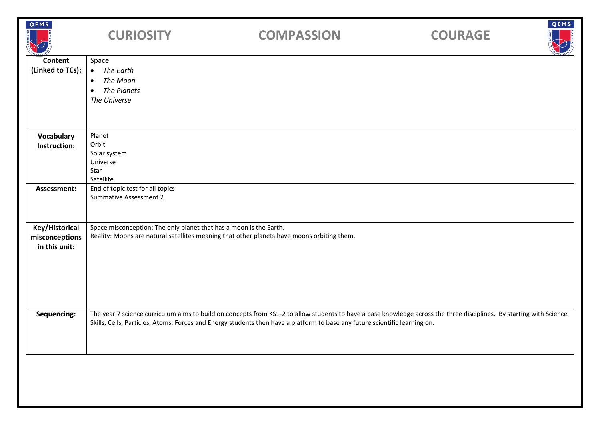| QEMS                                              | <b>CURIOSITY</b>                                                                                     | <b>COMPASSION</b>                                                                                                                                                                                                                                                                                   | <b>COURAGE</b> | QEMS |
|---------------------------------------------------|------------------------------------------------------------------------------------------------------|-----------------------------------------------------------------------------------------------------------------------------------------------------------------------------------------------------------------------------------------------------------------------------------------------------|----------------|------|
| <b>Content</b><br>(Linked to TCs):                | Space<br>The Earth<br>$\bullet$<br>The Moon<br>$\bullet$<br>The Planets<br>$\bullet$<br>The Universe |                                                                                                                                                                                                                                                                                                     |                |      |
| Vocabulary<br>Instruction:                        | Planet<br>Orbit<br>Solar system<br>Universe<br>Star<br>Satellite                                     |                                                                                                                                                                                                                                                                                                     |                |      |
| Assessment:                                       | End of topic test for all topics<br><b>Summative Assessment 2</b>                                    |                                                                                                                                                                                                                                                                                                     |                |      |
| Key/Historical<br>misconceptions<br>in this unit: | Space misconception: The only planet that has a moon is the Earth.                                   | Reality: Moons are natural satellites meaning that other planets have moons orbiting them.                                                                                                                                                                                                          |                |      |
| Sequencing:                                       |                                                                                                      | The year 7 science curriculum aims to build on concepts from KS1-2 to allow students to have a base knowledge across the three disciplines. By starting with Science<br>Skills, Cells, Particles, Atoms, Forces and Energy students then have a platform to base any future scientific learning on. |                |      |
|                                                   |                                                                                                      |                                                                                                                                                                                                                                                                                                     |                |      |